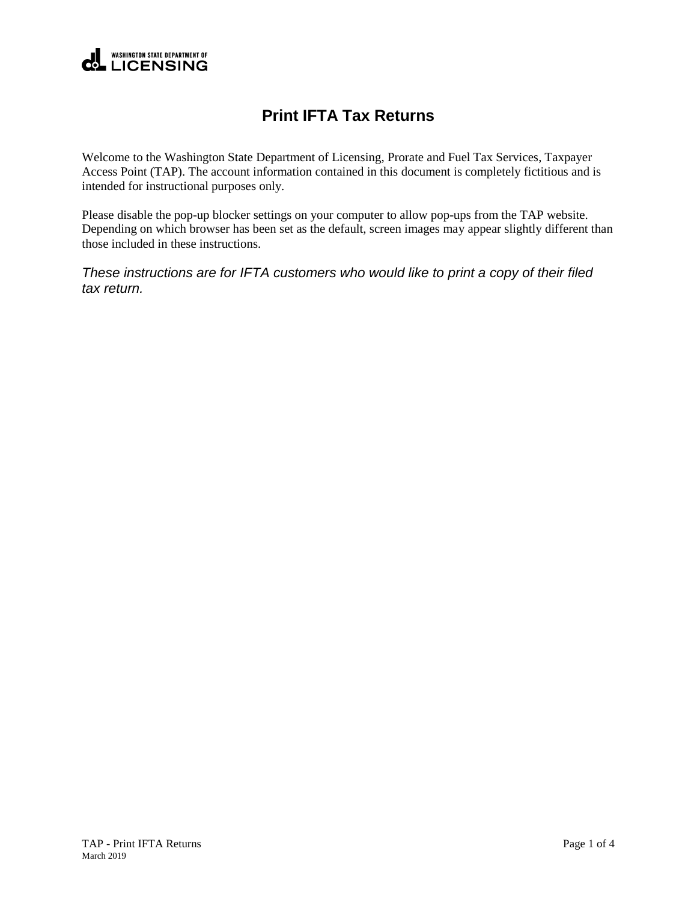

## **Print IFTA Tax Returns**

Welcome to the Washington State Department of Licensing, Prorate and Fuel Tax Services, Taxpayer Access Point (TAP). The account information contained in this document is completely fictitious and is intended for instructional purposes only.

Please disable the pop-up blocker settings on your computer to allow pop-ups from the TAP website. Depending on which browser has been set as the default, screen images may appear slightly different than those included in these instructions.

*These instructions are for IFTA customers who would like to print a copy of their filed tax return.*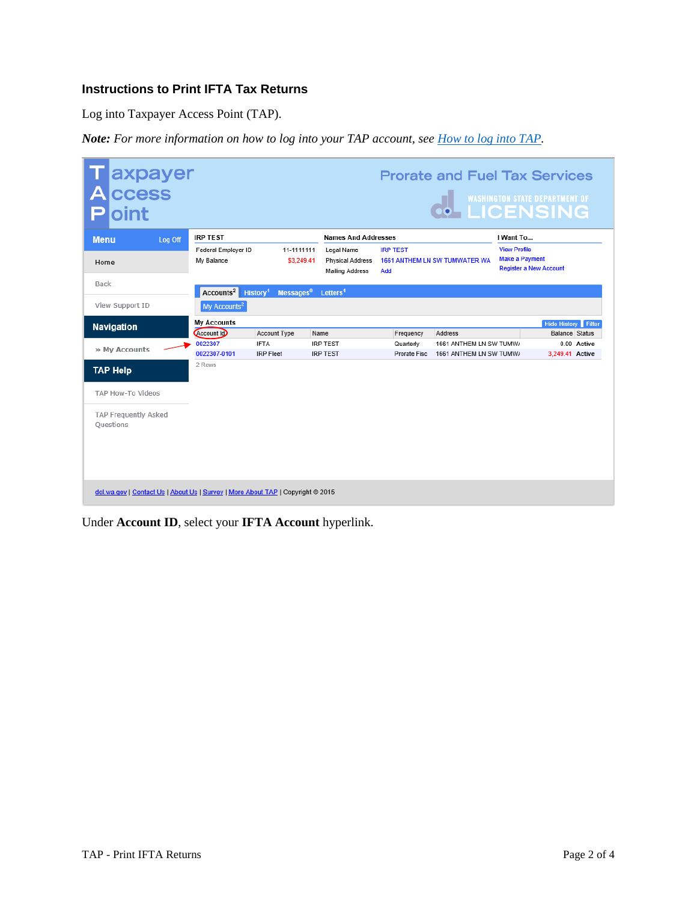## **Instructions to Print IFTA Tax Returns**

Log into Taxpayer Access Point (TAP).

*Note: For more information on how to log into your TAP account, see [How to log into TAP.](http://www.dol.wa.gov/vehicleregistration/docs/TAP-how-to-log-into-tap.pdf)*

| axpayer<br>ccess<br>А<br>oint                                                   |         |                                   |                                               |                                                                 |                            | <b>Prorate and Fuel Tax Services</b>               |                                                                               | <b>O</b> WASHINGTON STATE DEPARTMENT OF             |  |  |
|---------------------------------------------------------------------------------|---------|-----------------------------------|-----------------------------------------------|-----------------------------------------------------------------|----------------------------|----------------------------------------------------|-------------------------------------------------------------------------------|-----------------------------------------------------|--|--|
| <b>Menu</b>                                                                     | Log Off | <b>IRP TEST</b>                   |                                               |                                                                 | <b>Names And Addresses</b> |                                                    |                                                                               | I Want To                                           |  |  |
| Home                                                                            |         | Federal Employer ID<br>My Balance | 11-1111111<br>\$3,249.41                      | Legal Name<br><b>Physical Address</b><br><b>Mailing Address</b> | <b>IRP TEST</b><br>Add     | <b>1661 ANTHEM LN SW TUMWATER WA</b>               | <b>View Profile</b><br><b>Make a Payment</b><br><b>Register a New Account</b> |                                                     |  |  |
| Back                                                                            |         | Accounts <sup>2</sup>             | History <sup>1</sup><br>Messages <sup>0</sup> | Letters <sup>1</sup>                                            |                            |                                                    |                                                                               |                                                     |  |  |
| View Support ID                                                                 |         | My Accounts <sup>2</sup>          |                                               |                                                                 |                            |                                                    |                                                                               |                                                     |  |  |
| <b>Navigation</b>                                                               |         | <b>My Accounts</b><br>Account Id  | Account Type                                  | Name                                                            | Frequency                  | Address                                            |                                                                               | <b>Hide History Filter</b><br><b>Balance Status</b> |  |  |
| » My Accounts                                                                   |         | 0022307<br>0022307-0101           | <b>IFTA</b><br><b>IRP</b> Fleet               | <b>IRP TEST</b><br><b>IRP TEST</b>                              | Quarterly<br>Prorate Fisc  | 1661 ANTHEM LN SW TUMW/<br>1661 ANTHEM LN SW TUMW/ |                                                                               | 0.00 Active<br>3.249.41 Active                      |  |  |
| <b>TAP Help</b>                                                                 |         | 2 Rows                            |                                               |                                                                 |                            |                                                    |                                                                               |                                                     |  |  |
| TAP How-To Videos                                                               |         |                                   |                                               |                                                                 |                            |                                                    |                                                                               |                                                     |  |  |
| TAP Frequently Asked<br>Ouestions                                               |         |                                   |                                               |                                                                 |                            |                                                    |                                                                               |                                                     |  |  |
| dol.wa.gov   Contact Us   About Us   Survey   More About TAP   Copyright @ 2015 |         |                                   |                                               |                                                                 |                            |                                                    |                                                                               |                                                     |  |  |

Under **Account ID**, select your **IFTA Account** hyperlink.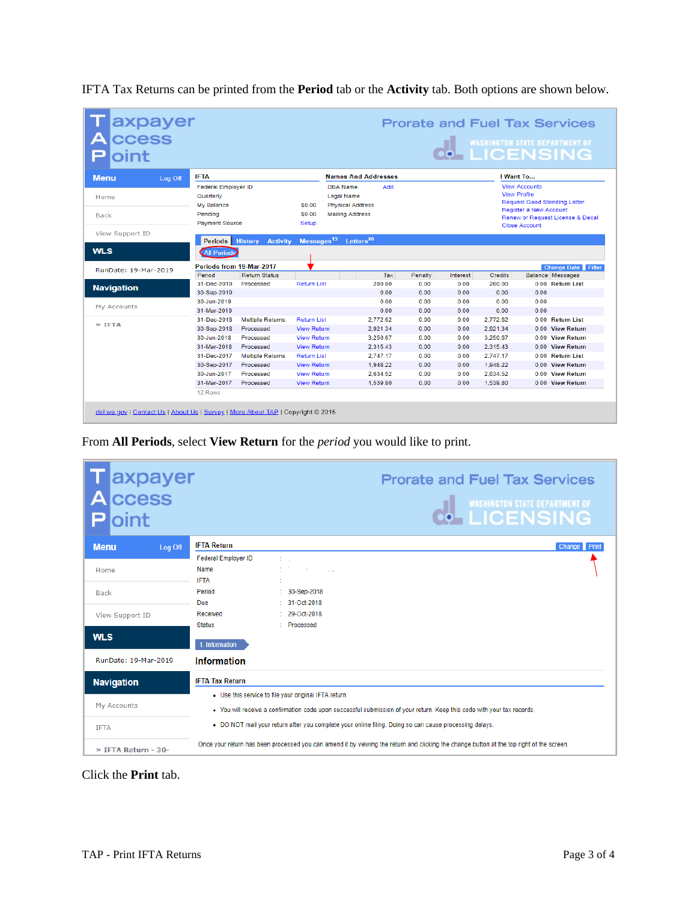| IFTA Tax Returns can be printed from the <b>Period</b> tab or the <b>Activity</b> tab. Both options are shown below. |  |
|----------------------------------------------------------------------------------------------------------------------|--|
|                                                                                                                      |  |

| axpayer<br> ccess<br>oint |                                                                                                  |                          |                                  |                                                                                           |                |              |              |                | <b>WASHINGTON STATE DEPARTMENT OF</b><br><b>• LICENSING</b>                                                                                                              |  |  |
|---------------------------|--------------------------------------------------------------------------------------------------|--------------------------|----------------------------------|-------------------------------------------------------------------------------------------|----------------|--------------|--------------|----------------|--------------------------------------------------------------------------------------------------------------------------------------------------------------------------|--|--|
| <b>Menu</b><br>Log Off    | <b>IFTA</b>                                                                                      |                          |                                  | <b>Names And Addresses</b>                                                                |                |              |              |                | I Want To                                                                                                                                                                |  |  |
| Home<br><b>Back</b>       | <b>Federal Employer ID</b><br>Quarterly<br><b>My Balance</b><br>Pendina<br><b>Payment Source</b> |                          | \$0.00<br>\$0.00<br><b>Setup</b> | <b>DBA</b> Name<br><b>Legal Name</b><br><b>Physical Address</b><br><b>Mailing Address</b> | Add            |              |              |                | <b>View Accounts</b><br><b>View Profile</b><br><b>Request Good Standing Letter</b><br>Register a New Account<br>Renew or Request License & Decal<br><b>Close Account</b> |  |  |
| <b>View Support ID</b>    |                                                                                                  |                          |                                  | Letters <sup>26</sup>                                                                     |                |              |              |                |                                                                                                                                                                          |  |  |
| <b>WLS</b>                | <b>Periods</b> History<br><b>All Periods</b>                                                     | <b>Activity</b>          | Messages <sup>13</sup>           |                                                                                           |                |              |              |                |                                                                                                                                                                          |  |  |
| RunDate: 19-Mar-2019      |                                                                                                  | Periods from 19-Mar-2017 |                                  |                                                                                           |                |              |              |                | <b>Change Date Filter</b>                                                                                                                                                |  |  |
|                           | Period                                                                                           | <b>Return Status</b>     |                                  |                                                                                           | Tax            | Penalty      | Interest     | Credits        | <b>Balance Messages</b>                                                                                                                                                  |  |  |
| <b>Navigation</b>         | 31-Dec-2019<br>30-Sep-2019                                                                       | Processed                | <b>Return List</b>               |                                                                                           | 280.00<br>0.00 | 0.00<br>0.00 | 0.00<br>0.00 | 280.00<br>0.00 | 0.00 Return List<br>0.00                                                                                                                                                 |  |  |
|                           | 30-Jun-2019                                                                                      |                          |                                  |                                                                                           | 0.00           | 0.00         | 0.00         | 0.00           | 0.00                                                                                                                                                                     |  |  |
| My Accounts               | 31-Mar-2019                                                                                      |                          |                                  |                                                                                           | 0.00           | 0.00         | 0.00         | 0.00           | 0.00                                                                                                                                                                     |  |  |
|                           | 31-Dec-2018                                                                                      | <b>Multiple Returns</b>  | <b>Return List</b>               |                                                                                           | 2.772.62       | 0.00         | 0.00         | 2.772.62       | <b>Return List</b><br>$0.00 -$                                                                                                                                           |  |  |
| $>$ TFTA                  | 30-Sep-2018                                                                                      | Processed                | <b>View Return</b>               |                                                                                           | 2.921.34       | 0.00         | 0.00         | 2.921.34       | 0.00<br><b>View Return</b>                                                                                                                                               |  |  |
|                           | 30-Jun-2018                                                                                      | Processed                | <b>View Return</b>               |                                                                                           | 3.250.67       | 0.00         | 0.00         | 3.250.67       | 0.00<br><b>View Return</b>                                                                                                                                               |  |  |
|                           | 31-Mar-2018                                                                                      | Processed                | <b>View Return</b>               |                                                                                           | 2.315.43       | 0.00         | 0.00         | 2.315.43       | <b>View Return</b><br>0.00                                                                                                                                               |  |  |
|                           | 31-Dec-2017                                                                                      | <b>Multiple Returns</b>  | <b>Return List</b>               |                                                                                           | 2.747.17       | 0.00         | 0.00         | 2.747.17       | 0.00 Return List                                                                                                                                                         |  |  |
|                           | 30-Sep-2017                                                                                      | Processed                | <b>View Return</b>               |                                                                                           | 1.948.22       | 0.00         | 0.00         | 1,948.22       | 0.00 View Return                                                                                                                                                         |  |  |
|                           | 30-Jun-2017                                                                                      | Processed                | <b>View Return</b>               |                                                                                           | 2,634.52       | 0.00         | 0.00         | 2.634.52       | $0.00 -$<br><b>View Return</b>                                                                                                                                           |  |  |
|                           | 31-Mar-2017                                                                                      | Processed                | <b>View Return</b>               |                                                                                           | 1,539.80       | 0.00         | 0.00         | 1,539.80       | 0.00 View Return                                                                                                                                                         |  |  |
|                           | 12 Rows                                                                                          |                          |                                  |                                                                                           |                |              |              |                |                                                                                                                                                                          |  |  |

From **All Periods**, select **View Return** for the *period* you would like to print.

| axpayer<br><b>CCESS</b><br>oint |                            | <b>Prorate and Fuel Tax Services</b><br><b>WASHINGTON STATE DEPARTMENT OF</b><br><b><i>ILICENSING</i></b>                                 |
|---------------------------------|----------------------------|-------------------------------------------------------------------------------------------------------------------------------------------|
| <b>Menu</b><br>Log Off          | <b>IFTA Return</b>         | Change Print                                                                                                                              |
|                                 | <b>Federal Employer ID</b> |                                                                                                                                           |
| Home                            | Name<br><b>IFTA</b>        | and the company of the com-                                                                                                               |
| <b>Back</b>                     | Period                     | 30-Sep-2018                                                                                                                               |
|                                 | Due                        | 31-Oct-2018                                                                                                                               |
| <b>View Support ID</b>          | Received                   | 29-Oct-2018                                                                                                                               |
|                                 | <b>Status</b>              | Processed                                                                                                                                 |
| <b>WLS</b>                      | 1. Information             |                                                                                                                                           |
| RunDate: 19-Mar-2019            | <b>Information</b>         |                                                                                                                                           |
| <b>Navigation</b>               | <b>IFTA Tax Return</b>     |                                                                                                                                           |
|                                 |                            | • Use this service to file your original IFTA return.                                                                                     |
| My Accounts                     |                            | - You will receive a confirmation code upon successful submission of your return. Keep this code with your tax records.                   |
| <b>IFTA</b>                     |                            | . DO NOT mail your return after you complete your online filing. Doing so can cause processing delays.                                    |
| » IFTA Return - 30-             |                            | Once your return has been processed you can amend it by viewing the return and clicking the change button at the top right of the screen. |

Click the **Print** tab.